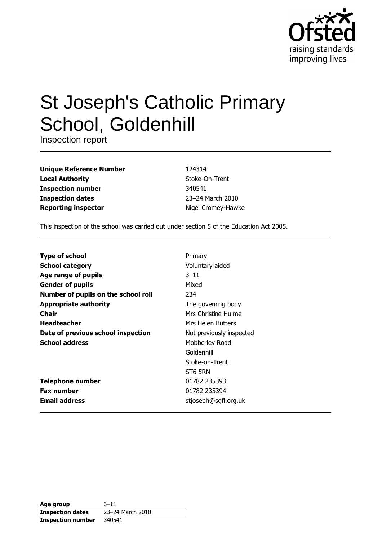

# **St Joseph's Catholic Primary** School, Goldenhill

Inspection report

| <b>Unique Reference Number</b> |
|--------------------------------|
| <b>Local Authority</b>         |
| <b>Inspection number</b>       |
| <b>Inspection dates</b>        |
| <b>Reporting inspector</b>     |

124314 Stoke-On-Trent 340541 23-24 March 2010 Nigel Cromey-Hawke

This inspection of the school was carried out under section 5 of the Education Act 2005.

| <b>Type of school</b>               | Primary                  |
|-------------------------------------|--------------------------|
| <b>School category</b>              | Voluntary aided          |
| Age range of pupils                 | $3 - 11$                 |
| <b>Gender of pupils</b>             | Mixed                    |
| Number of pupils on the school roll | 234                      |
| <b>Appropriate authority</b>        | The governing body       |
| Chair                               | Mrs Christine Hulme      |
| <b>Headteacher</b>                  | Mrs Helen Butters        |
| Date of previous school inspection  | Not previously inspected |
| <b>School address</b>               | Mobberley Road           |
|                                     | Goldenhill               |
|                                     | Stoke-on-Trent           |
|                                     | ST6 5RN                  |
| <b>Telephone number</b>             | 01782 235393             |
| <b>Fax number</b>                   | 01782 235394             |
| <b>Email address</b>                | stjoseph@sgfl.org.uk     |

| Age group                | $3 - 11$         |
|--------------------------|------------------|
| <b>Inspection dates</b>  | 23-24 March 2010 |
| <b>Inspection number</b> | 340541           |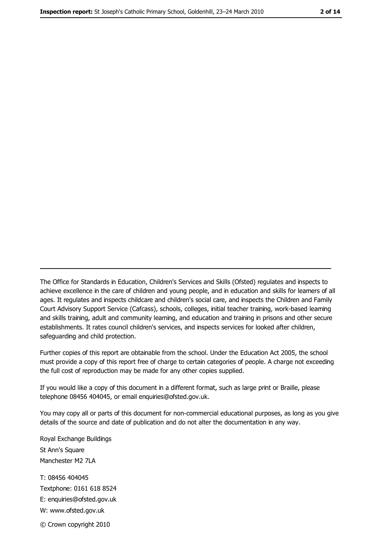The Office for Standards in Education, Children's Services and Skills (Ofsted) regulates and inspects to achieve excellence in the care of children and young people, and in education and skills for learners of all ages. It regulates and inspects childcare and children's social care, and inspects the Children and Family Court Advisory Support Service (Cafcass), schools, colleges, initial teacher training, work-based learning and skills training, adult and community learning, and education and training in prisons and other secure establishments. It rates council children's services, and inspects services for looked after children, safequarding and child protection.

Further copies of this report are obtainable from the school. Under the Education Act 2005, the school must provide a copy of this report free of charge to certain categories of people. A charge not exceeding the full cost of reproduction may be made for any other copies supplied.

If you would like a copy of this document in a different format, such as large print or Braille, please telephone 08456 404045, or email enquiries@ofsted.gov.uk.

You may copy all or parts of this document for non-commercial educational purposes, as long as you give details of the source and date of publication and do not alter the documentation in any way.

Royal Exchange Buildings St Ann's Square Manchester M2 7LA T: 08456 404045 Textphone: 0161 618 8524 E: enquiries@ofsted.gov.uk W: www.ofsted.gov.uk © Crown copyright 2010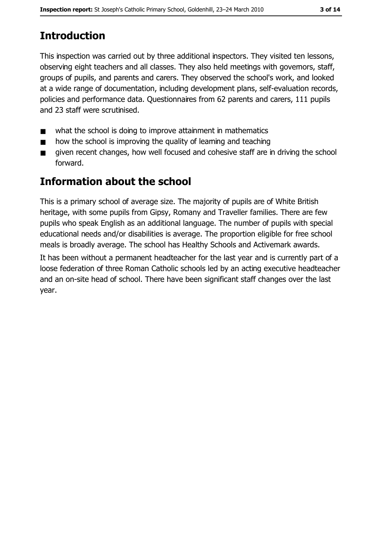# **Introduction**

This inspection was carried out by three additional inspectors. They visited ten lessons, observing eight teachers and all classes. They also held meetings with governors, staff, groups of pupils, and parents and carers. They observed the school's work, and looked at a wide range of documentation, including development plans, self-evaluation records, policies and performance data. Questionnaires from 62 parents and carers, 111 pupils and 23 staff were scrutinised.

- what the school is doing to improve attainment in mathematics  $\blacksquare$
- how the school is improving the quality of learning and teaching  $\blacksquare$
- given recent changes, how well focused and cohesive staff are in driving the school  $\blacksquare$ forward.

# **Information about the school**

This is a primary school of average size. The majority of pupils are of White British heritage, with some pupils from Gipsy, Romany and Traveller families. There are few pupils who speak English as an additional language. The number of pupils with special educational needs and/or disabilities is average. The proportion eligible for free school meals is broadly average. The school has Healthy Schools and Activemark awards.

It has been without a permanent headteacher for the last year and is currently part of a loose federation of three Roman Catholic schools led by an acting executive headteacher and an on-site head of school. There have been significant staff changes over the last year.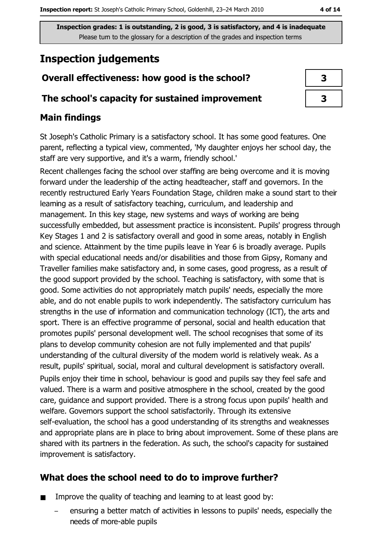# **Inspection judgements**

# Overall effectiveness: how good is the school?

## The school's capacity for sustained improvement

## **Main findings**

St Joseph's Catholic Primary is a satisfactory school. It has some good features. One parent, reflecting a typical view, commented, 'My daughter enjoys her school day, the staff are very supportive, and it's a warm, friendly school.'

Recent challenges facing the school over staffing are being overcome and it is moving forward under the leadership of the acting headteacher, staff and governors. In the recently restructured Early Years Foundation Stage, children make a sound start to their learning as a result of satisfactory teaching, curriculum, and leadership and management. In this key stage, new systems and ways of working are being successfully embedded, but assessment practice is inconsistent. Pupils' progress through Key Stages 1 and 2 is satisfactory overall and good in some areas, notably in English and science. Attainment by the time pupils leave in Year 6 is broadly average. Pupils with special educational needs and/or disabilities and those from Gipsy, Romany and Traveller families make satisfactory and, in some cases, good progress, as a result of the good support provided by the school. Teaching is satisfactory, with some that is good. Some activities do not appropriately match pupils' needs, especially the more able, and do not enable pupils to work independently. The satisfactory curriculum has strengths in the use of information and communication technology (ICT), the arts and sport. There is an effective programme of personal, social and health education that promotes pupils' personal development well. The school recognises that some of its plans to develop community cohesion are not fully implemented and that pupils' understanding of the cultural diversity of the modern world is relatively weak. As a result, pupils' spiritual, social, moral and cultural development is satisfactory overall. Pupils enjoy their time in school, behaviour is good and pupils say they feel safe and valued. There is a warm and positive atmosphere in the school, created by the good care, guidance and support provided. There is a strong focus upon pupils' health and welfare. Governors support the school satisfactorily. Through its extensive self-evaluation, the school has a good understanding of its strengths and weaknesses and appropriate plans are in place to bring about improvement. Some of these plans are shared with its partners in the federation. As such, the school's capacity for sustained improvement is satisfactory.

# What does the school need to do to improve further?

- Improve the quality of teaching and learning to at least good by:  $\blacksquare$ 
	- ensuring a better match of activities in lessons to pupils' needs, especially the needs of more-able pupils

| 3 |  |
|---|--|
| 3 |  |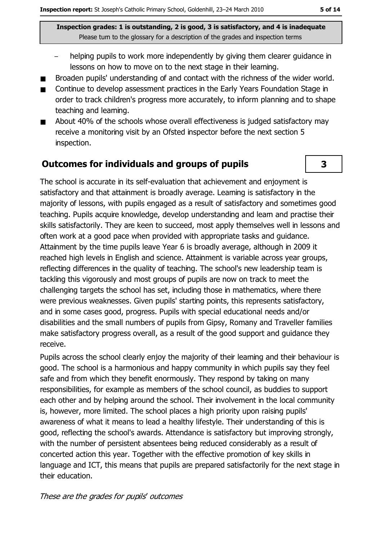- helping pupils to work more independently by giving them clearer guidance in lessons on how to move on to the next stage in their learning.
- Broaden pupils' understanding of and contact with the richness of the wider world.
- Continue to develop assessment practices in the Early Years Foundation Stage in  $\blacksquare$ order to track children's progress more accurately, to inform planning and to shape teaching and learning.
- About 40% of the schools whose overall effectiveness is judged satisfactory may  $\blacksquare$ receive a monitoring visit by an Ofsted inspector before the next section 5 inspection.

#### **Outcomes for individuals and groups of pupils**

The school is accurate in its self-evaluation that achievement and enjoyment is satisfactory and that attainment is broadly average. Learning is satisfactory in the majority of lessons, with pupils engaged as a result of satisfactory and sometimes good teaching. Pupils acquire knowledge, develop understanding and learn and practise their skills satisfactorily. They are keen to succeed, most apply themselves well in lessons and often work at a good pace when provided with appropriate tasks and guidance. Attainment by the time pupils leave Year 6 is broadly average, although in 2009 it reached high levels in English and science. Attainment is variable across year groups, reflecting differences in the quality of teaching. The school's new leadership team is tackling this vigorously and most groups of pupils are now on track to meet the challenging targets the school has set, including those in mathematics, where there were previous weaknesses. Given pupils' starting points, this represents satisfactory, and in some cases good, progress. Pupils with special educational needs and/or disabilities and the small numbers of pupils from Gipsy, Romany and Traveller families make satisfactory progress overall, as a result of the good support and guidance they receive.

Pupils across the school clearly enjoy the majority of their learning and their behaviour is good. The school is a harmonious and happy community in which pupils say they feel safe and from which they benefit enormously. They respond by taking on many responsibilities, for example as members of the school council, as buddies to support each other and by helping around the school. Their involvement in the local community is, however, more limited. The school places a high priority upon raising pupils' awareness of what it means to lead a healthy lifestyle. Their understanding of this is good, reflecting the school's awards. Attendance is satisfactory but improving strongly, with the number of persistent absentees being reduced considerably as a result of concerted action this year. Together with the effective promotion of key skills in language and ICT, this means that pupils are prepared satisfactorily for the next stage in their education.

#### These are the grades for pupils' outcomes

3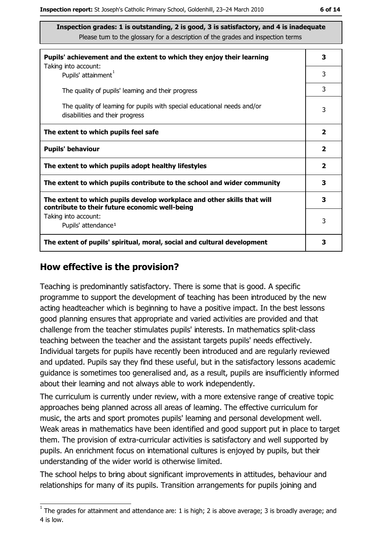| Pupils' achievement and the extent to which they enjoy their learning                                                     | 3                       |
|---------------------------------------------------------------------------------------------------------------------------|-------------------------|
| Taking into account:<br>Pupils' attainment <sup>1</sup>                                                                   | 3                       |
| The quality of pupils' learning and their progress                                                                        | 3                       |
| The quality of leaming for pupils with special educational needs and/or<br>disabilities and their progress                | 3                       |
| The extent to which pupils feel safe                                                                                      | $\overline{\mathbf{2}}$ |
| <b>Pupils' behaviour</b>                                                                                                  | $\mathbf{2}$            |
| The extent to which pupils adopt healthy lifestyles                                                                       | $\mathbf{2}$            |
| The extent to which pupils contribute to the school and wider community                                                   | 3                       |
| The extent to which pupils develop workplace and other skills that will<br>contribute to their future economic well-being | 3                       |
| Taking into account:<br>Pupils' attendance <sup>1</sup>                                                                   | 3                       |
| The extent of pupils' spiritual, moral, social and cultural development                                                   | 3                       |

#### How effective is the provision?

Teaching is predominantly satisfactory. There is some that is good. A specific programme to support the development of teaching has been introduced by the new acting headteacher which is beginning to have a positive impact. In the best lessons good planning ensures that appropriate and varied activities are provided and that challenge from the teacher stimulates pupils' interests. In mathematics split-class teaching between the teacher and the assistant targets pupils' needs effectively. Individual targets for pupils have recently been introduced and are regularly reviewed and updated. Pupils say they find these useful, but in the satisfactory lessons academic quidance is sometimes too generalised and, as a result, pupils are insufficiently informed about their learning and not always able to work independently.

The curriculum is currently under review, with a more extensive range of creative topic approaches being planned across all areas of learning. The effective curriculum for music, the arts and sport promotes pupils' learning and personal development well. Weak areas in mathematics have been identified and good support put in place to target them. The provision of extra-curricular activities is satisfactory and well supported by pupils. An enrichment focus on international cultures is enjoyed by pupils, but their understanding of the wider world is otherwise limited.

The school helps to bring about significant improvements in attitudes, behaviour and relationships for many of its pupils. Transition arrangements for pupils joining and

 $\overline{1}$  The grades for attainment and attendance are: 1 is high; 2 is above average; 3 is broadly average; and 4 is low.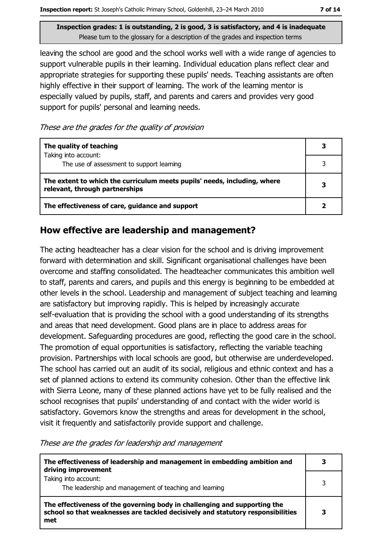leaving the school are good and the school works well with a wide range of agencies to support vulnerable pupils in their learning. Individual education plans reflect clear and appropriate strategies for supporting these pupils' needs. Teaching assistants are often highly effective in their support of learning. The work of the learning mentor is especially valued by pupils, staff, and parents and carers and provides very good support for pupils' personal and learning needs.

These are the grades for the quality of provision

| The quality of teaching                                                                                    |  |
|------------------------------------------------------------------------------------------------------------|--|
| Taking into account:<br>The use of assessment to support learning                                          |  |
| The extent to which the curriculum meets pupils' needs, including, where<br>relevant, through partnerships |  |
| The effectiveness of care, guidance and support                                                            |  |

#### How effective are leadership and management?

The acting headteacher has a clear vision for the school and is driving improvement forward with determination and skill. Significant organisational challenges have been overcome and staffing consolidated. The headteacher communicates this ambition well to staff, parents and carers, and pupils and this energy is beginning to be embedded at other levels in the school. Leadership and management of subject teaching and learning are satisfactory but improving rapidly. This is helped by increasingly accurate self-evaluation that is providing the school with a good understanding of its strengths and areas that need development. Good plans are in place to address areas for development. Safeguarding procedures are good, reflecting the good care in the school. The promotion of equal opportunities is satisfactory, reflecting the variable teaching provision. Partnerships with local schools are good, but otherwise are underdeveloped. The school has carried out an audit of its social, religious and ethnic context and has a set of planned actions to extend its community cohesion. Other than the effective link with Sierra Leone, many of these planned actions have yet to be fully realised and the school recognises that pupils' understanding of and contact with the wider world is satisfactory. Governors know the strengths and areas for development in the school, visit it frequently and satisfactorily provide support and challenge.

These are the grades for leadership and management

| The effectiveness of leadership and management in embedding ambition and<br>driving improvement                                                                     |   |
|---------------------------------------------------------------------------------------------------------------------------------------------------------------------|---|
| Taking into account:<br>The leadership and management of teaching and learning                                                                                      | 3 |
| The effectiveness of the governing body in challenging and supporting the<br>school so that weaknesses are tackled decisively and statutory responsibilities<br>met |   |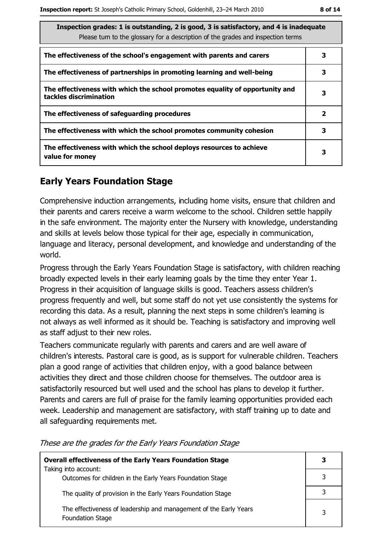| Inspection grades: 1 is outstanding, 2 is good, 3 is satisfactory, and 4 is inadequate<br>Please tum to the glossary for a description of the grades and inspection terms |              |
|---------------------------------------------------------------------------------------------------------------------------------------------------------------------------|--------------|
| The effectiveness of the school's engagement with parents and carers                                                                                                      | з            |
| The effectiveness of partnerships in promoting learning and well-being                                                                                                    | 3            |
| The effectiveness with which the school promotes equality of opportunity and<br>tackles discrimination                                                                    | 3            |
| The effectiveness of safeguarding procedures                                                                                                                              | $\mathbf{2}$ |
| The effectiveness with which the school promotes community cohesion                                                                                                       | 3            |
| The effectiveness with which the school deploys resources to achieve<br>value for money                                                                                   | з            |

## **Early Years Foundation Stage**

Comprehensive induction arrangements, including home visits, ensure that children and their parents and carers receive a warm welcome to the school. Children settle happily in the safe environment. The majority enter the Nursery with knowledge, understanding and skills at levels below those typical for their age, especially in communication, language and literacy, personal development, and knowledge and understanding of the world.

Progress through the Early Years Foundation Stage is satisfactory, with children reaching broadly expected levels in their early learning goals by the time they enter Year 1. Progress in their acquisition of language skills is good. Teachers assess children's progress frequently and well, but some staff do not yet use consistently the systems for recording this data. As a result, planning the next steps in some children's learning is not always as well informed as it should be. Teaching is satisfactory and improving well as staff adjust to their new roles.

Teachers communicate regularly with parents and carers and are well aware of children's interests. Pastoral care is good, as is support for vulnerable children. Teachers plan a good range of activities that children enjoy, with a good balance between activities they direct and those children choose for themselves. The outdoor area is satisfactorily resourced but well used and the school has plans to develop it further. Parents and carers are full of praise for the family learning opportunities provided each week. Leadership and management are satisfactory, with staff training up to date and all safequarding requirements met.

| <b>Overall effectiveness of the Early Years Foundation Stage</b>                             | 3 |
|----------------------------------------------------------------------------------------------|---|
| Taking into account:<br>Outcomes for children in the Early Years Foundation Stage            |   |
| The quality of provision in the Early Years Foundation Stage                                 |   |
| The effectiveness of leadership and management of the Early Years<br><b>Foundation Stage</b> | 3 |

These are the grades for the Early Years Foundation Stage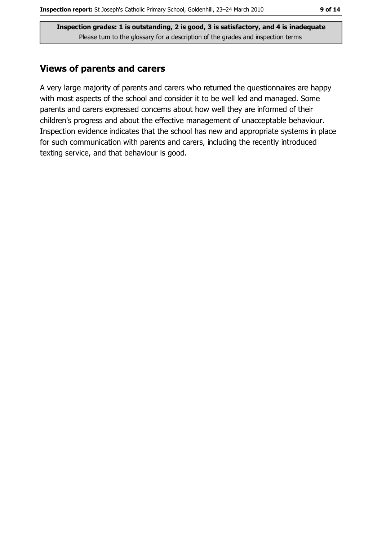#### **Views of parents and carers**

A very large majority of parents and carers who returned the questionnaires are happy with most aspects of the school and consider it to be well led and managed. Some parents and carers expressed concerns about how well they are informed of their children's progress and about the effective management of unacceptable behaviour. Inspection evidence indicates that the school has new and appropriate systems in place for such communication with parents and carers, including the recently introduced texting service, and that behaviour is good.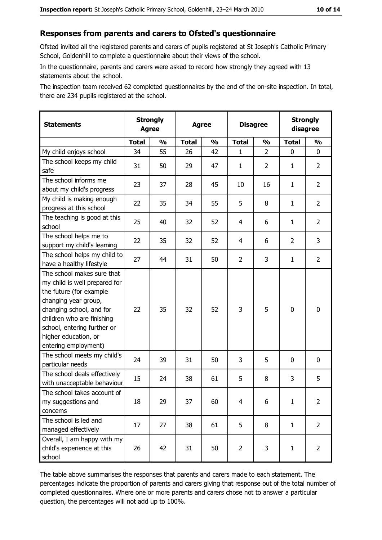## Responses from parents and carers to Ofsted's questionnaire

Ofsted invited all the registered parents and carers of pupils registered at St Joseph's Catholic Primary School, Goldenhill to complete a questionnaire about their views of the school.

In the questionnaire, parents and carers were asked to record how strongly they agreed with 13 statements about the school.

The inspection team received 62 completed questionnaires by the end of the on-site inspection. In total, there are 234 pupils registered at the school.

| <b>Statements</b>                                                                                                                                                                                                                                       | <b>Strongly</b><br><b>Agree</b> |               |              | <b>Agree</b>  |                | <b>Disagree</b> |                | <b>Strongly</b><br>disagree |
|---------------------------------------------------------------------------------------------------------------------------------------------------------------------------------------------------------------------------------------------------------|---------------------------------|---------------|--------------|---------------|----------------|-----------------|----------------|-----------------------------|
|                                                                                                                                                                                                                                                         | <b>Total</b>                    | $\frac{1}{2}$ | <b>Total</b> | $\frac{0}{0}$ | <b>Total</b>   | $\frac{0}{0}$   | <b>Total</b>   | $\frac{1}{2}$               |
| My child enjoys school                                                                                                                                                                                                                                  | 34                              | 55            | 26           | 42            | 1              | $\overline{2}$  | $\mathbf{0}$   | 0                           |
| The school keeps my child<br>safe                                                                                                                                                                                                                       | 31                              | 50            | 29           | 47            | 1              | $\overline{2}$  | 1              | $\overline{2}$              |
| The school informs me<br>about my child's progress                                                                                                                                                                                                      | 23                              | 37            | 28           | 45            | 10             | 16              | 1              | $\overline{2}$              |
| My child is making enough<br>progress at this school                                                                                                                                                                                                    | 22                              | 35            | 34           | 55            | 5              | 8               | 1              | $\overline{2}$              |
| The teaching is good at this<br>school                                                                                                                                                                                                                  | 25                              | 40            | 32           | 52            | 4              | 6               | 1              | $\overline{2}$              |
| The school helps me to<br>support my child's learning                                                                                                                                                                                                   | 22                              | 35            | 32           | 52            | 4              | 6               | $\overline{2}$ | 3                           |
| The school helps my child to<br>have a healthy lifestyle                                                                                                                                                                                                | 27                              | 44            | 31           | 50            | $\overline{2}$ | 3               | 1              | $\overline{2}$              |
| The school makes sure that<br>my child is well prepared for<br>the future (for example<br>changing year group,<br>changing school, and for<br>children who are finishing<br>school, entering further or<br>higher education, or<br>entering employment) | 22                              | 35            | 32           | 52            | 3              | 5               | $\mathbf 0$    | $\mathbf 0$                 |
| The school meets my child's<br>particular needs                                                                                                                                                                                                         | 24                              | 39            | 31           | 50            | 3              | 5               | 0              | $\mathbf 0$                 |
| The school deals effectively<br>with unacceptable behaviour                                                                                                                                                                                             | 15                              | 24            | 38           | 61            | 5              | 8               | 3              | 5                           |
| The school takes account of<br>my suggestions and<br>concerns                                                                                                                                                                                           | 18                              | 29            | 37           | 60            | 4              | 6               | 1              | $\overline{2}$              |
| The school is led and<br>managed effectively                                                                                                                                                                                                            | 17                              | 27            | 38           | 61            | 5              | 8               | $\mathbf{1}$   | $\overline{2}$              |
| Overall, I am happy with my<br>child's experience at this<br>school                                                                                                                                                                                     | 26                              | 42            | 31           | 50            | $\overline{2}$ | 3               | $\mathbf{1}$   | $\overline{2}$              |

The table above summarises the responses that parents and carers made to each statement. The percentages indicate the proportion of parents and carers giving that response out of the total number of completed questionnaires. Where one or more parents and carers chose not to answer a particular question, the percentages will not add up to 100%.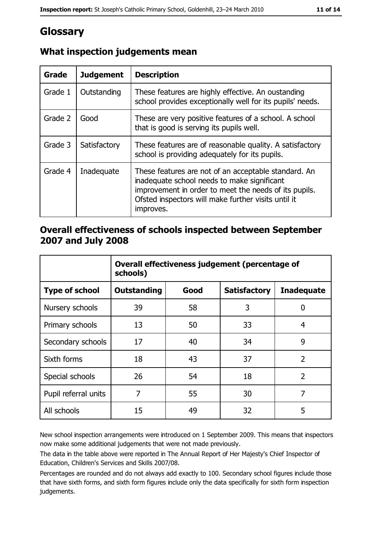# Glossary

| Grade   | <b>Judgement</b> | <b>Description</b>                                                                                                                                                                                                               |
|---------|------------------|----------------------------------------------------------------------------------------------------------------------------------------------------------------------------------------------------------------------------------|
| Grade 1 | Outstanding      | These features are highly effective. An oustanding<br>school provides exceptionally well for its pupils' needs.                                                                                                                  |
| Grade 2 | Good             | These are very positive features of a school. A school<br>that is good is serving its pupils well.                                                                                                                               |
| Grade 3 | Satisfactory     | These features are of reasonable quality. A satisfactory<br>school is providing adequately for its pupils.                                                                                                                       |
| Grade 4 | Inadequate       | These features are not of an acceptable standard. An<br>inadequate school needs to make significant<br>improvement in order to meet the needs of its pupils.<br>Ofsted inspectors will make further visits until it<br>improves. |

## What inspection judgements mean

## Overall effectiveness of schools inspected between September 2007 and July 2008

|                       | Overall effectiveness judgement (percentage of<br>schools) |      |                     |                   |  |
|-----------------------|------------------------------------------------------------|------|---------------------|-------------------|--|
| <b>Type of school</b> | Outstanding                                                | Good | <b>Satisfactory</b> | <b>Inadequate</b> |  |
| Nursery schools       | 39                                                         | 58   | 3                   | 0                 |  |
| Primary schools       | 13                                                         | 50   | 33                  | 4                 |  |
| Secondary schools     | 17                                                         | 40   | 34                  | 9                 |  |
| Sixth forms           | 18                                                         | 43   | 37                  | $\overline{2}$    |  |
| Special schools       | 26                                                         | 54   | 18                  | $\overline{2}$    |  |
| Pupil referral units  | 7                                                          | 55   | 30                  | 7                 |  |
| All schools           | 15                                                         | 49   | 32                  | 5                 |  |

New school inspection arrangements were introduced on 1 September 2009. This means that inspectors now make some additional judgements that were not made previously.

The data in the table above were reported in The Annual Report of Her Majesty's Chief Inspector of Education, Children's Services and Skills 2007/08.

Percentages are rounded and do not always add exactly to 100. Secondary school figures include those that have sixth forms, and sixth form figures include only the data specifically for sixth form inspection judgements.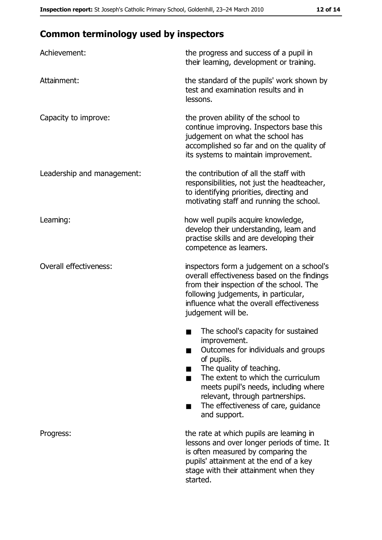# **Common terminology used by inspectors**

| Achievement:                  | the progress and success of a pupil in<br>their learning, development or training.                                                                                                                                                                                                                           |
|-------------------------------|--------------------------------------------------------------------------------------------------------------------------------------------------------------------------------------------------------------------------------------------------------------------------------------------------------------|
| Attainment:                   | the standard of the pupils' work shown by<br>test and examination results and in<br>lessons.                                                                                                                                                                                                                 |
| Capacity to improve:          | the proven ability of the school to<br>continue improving. Inspectors base this<br>judgement on what the school has<br>accomplished so far and on the quality of<br>its systems to maintain improvement.                                                                                                     |
| Leadership and management:    | the contribution of all the staff with<br>responsibilities, not just the headteacher,<br>to identifying priorities, directing and<br>motivating staff and running the school.                                                                                                                                |
| Leaming:                      | how well pupils acquire knowledge,<br>develop their understanding, learn and<br>practise skills and are developing their<br>competence as learners.                                                                                                                                                          |
| <b>Overall effectiveness:</b> | inspectors form a judgement on a school's<br>overall effectiveness based on the findings<br>from their inspection of the school. The<br>following judgements, in particular,<br>influence what the overall effectiveness<br>judgement will be.                                                               |
|                               | The school's capacity for sustained<br>improvement.<br>Outcomes for individuals and groups<br>of pupils.<br>The quality of teaching.<br>The extent to which the curriculum<br>meets pupil's needs, including where<br>relevant, through partnerships.<br>The effectiveness of care, guidance<br>and support. |
| Progress:                     | the rate at which pupils are learning in<br>lessons and over longer periods of time. It<br>is often measured by comparing the<br>pupils' attainment at the end of a key<br>stage with their attainment when they<br>started.                                                                                 |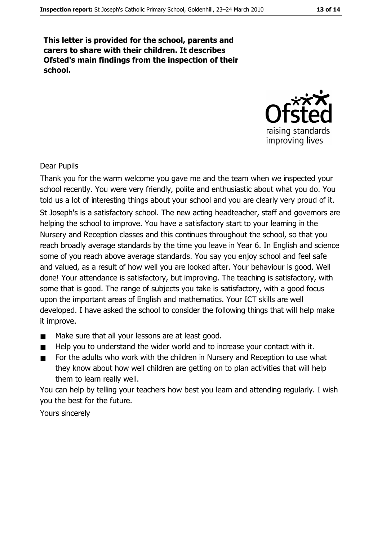This letter is provided for the school, parents and carers to share with their children. It describes Ofsted's main findings from the inspection of their school.



#### **Dear Pupils**

Thank you for the warm welcome you gave me and the team when we inspected your school recently. You were very friendly, polite and enthusiastic about what you do. You told us a lot of interesting things about your school and you are clearly very proud of it. St Joseph's is a satisfactory school. The new acting headteacher, staff and governors are helping the school to improve. You have a satisfactory start to your learning in the Nursery and Reception classes and this continues throughout the school, so that you reach broadly average standards by the time you leave in Year 6. In English and science some of you reach above average standards. You say you enjoy school and feel safe and valued, as a result of how well you are looked after. Your behaviour is good. Well done! Your attendance is satisfactory, but improving. The teaching is satisfactory, with some that is good. The range of subjects you take is satisfactory, with a good focus upon the important areas of English and mathematics. Your ICT skills are well developed. I have asked the school to consider the following things that will help make it improve.

- Make sure that all your lessons are at least good.  $\blacksquare$
- Help you to understand the wider world and to increase your contact with it.  $\blacksquare$
- For the adults who work with the children in Nursery and Reception to use what  $\blacksquare$ they know about how well children are getting on to plan activities that will help them to learn really well.

You can help by telling your teachers how best you learn and attending regularly. I wish you the best for the future.

Yours sincerely